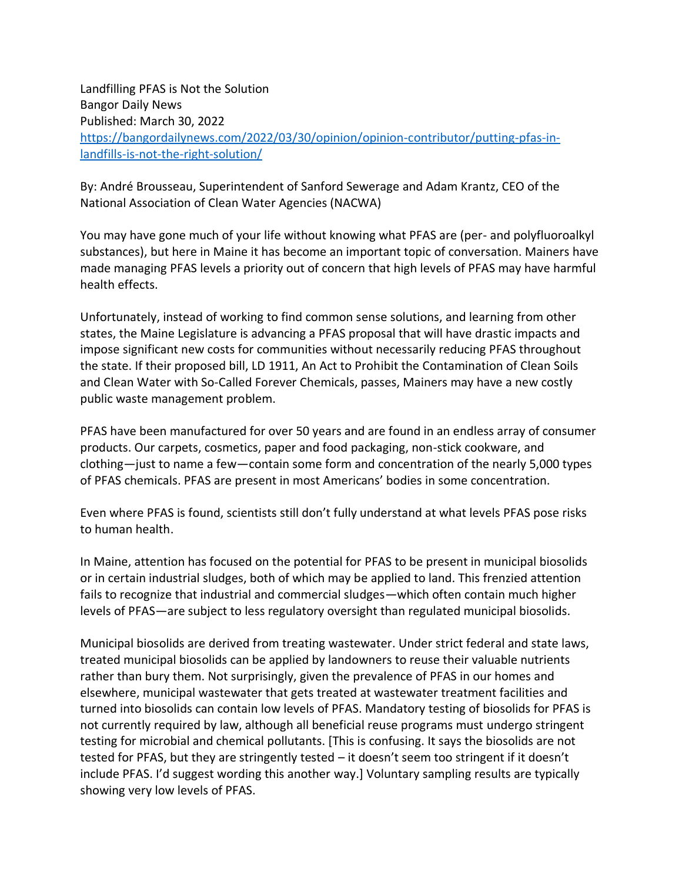Landfilling PFAS is Not the Solution Bangor Daily News Published: March 30, 2022 [https://bangordailynews.com/2022/03/30/opinion/opinion-contributor/putting-pfas-in](https://bangordailynews.com/2022/03/30/opinion/opinion-contributor/putting-pfas-in-landfills-is-not-the-right-solution/)[landfills-is-not-the-right-solution/](https://bangordailynews.com/2022/03/30/opinion/opinion-contributor/putting-pfas-in-landfills-is-not-the-right-solution/)

By: André Brousseau, Superintendent of Sanford Sewerage and Adam Krantz, CEO of the National Association of Clean Water Agencies (NACWA)

You may have gone much of your life without knowing what PFAS are (per- and polyfluoroalkyl substances), but here in Maine it has become an important topic of conversation. Mainers have made managing PFAS levels a priority out of concern that high levels of PFAS may have harmful health effects.

Unfortunately, instead of working to find common sense solutions, and learning from other states, the Maine Legislature is advancing a PFAS proposal that will have drastic impacts and impose significant new costs for communities without necessarily reducing PFAS throughout the state. If their proposed bill, LD 1911, An Act to Prohibit the Contamination of Clean Soils and Clean Water with So-Called Forever Chemicals, passes, Mainers may have a new costly public waste management problem.

PFAS have been manufactured for over 50 years and are found in an endless array of consumer products. Our carpets, cosmetics, paper and food packaging, non-stick cookware, and clothing—just to name a few—contain some form and concentration of the nearly 5,000 types of PFAS chemicals. PFAS are present in most Americans' bodies in some concentration.

Even where PFAS is found, scientists still don't fully understand at what levels PFAS pose risks to human health.

In Maine, attention has focused on the potential for PFAS to be present in municipal biosolids or in certain industrial sludges, both of which may be applied to land. This frenzied attention fails to recognize that industrial and commercial sludges—which often contain much higher levels of PFAS—are subject to less regulatory oversight than regulated municipal biosolids.

Municipal biosolids are derived from treating wastewater. Under strict federal and state laws, treated municipal biosolids can be applied by landowners to reuse their valuable nutrients rather than bury them. Not surprisingly, given the prevalence of PFAS in our homes and elsewhere, municipal wastewater that gets treated at wastewater treatment facilities and turned into biosolids can contain low levels of PFAS. Mandatory testing of biosolids for PFAS is not currently required by law, although all beneficial reuse programs must undergo stringent testing for microbial and chemical pollutants. [This is confusing. It says the biosolids are not tested for PFAS, but they are stringently tested – it doesn't seem too stringent if it doesn't include PFAS. I'd suggest wording this another way.] Voluntary sampling results are typically showing very low levels of PFAS.